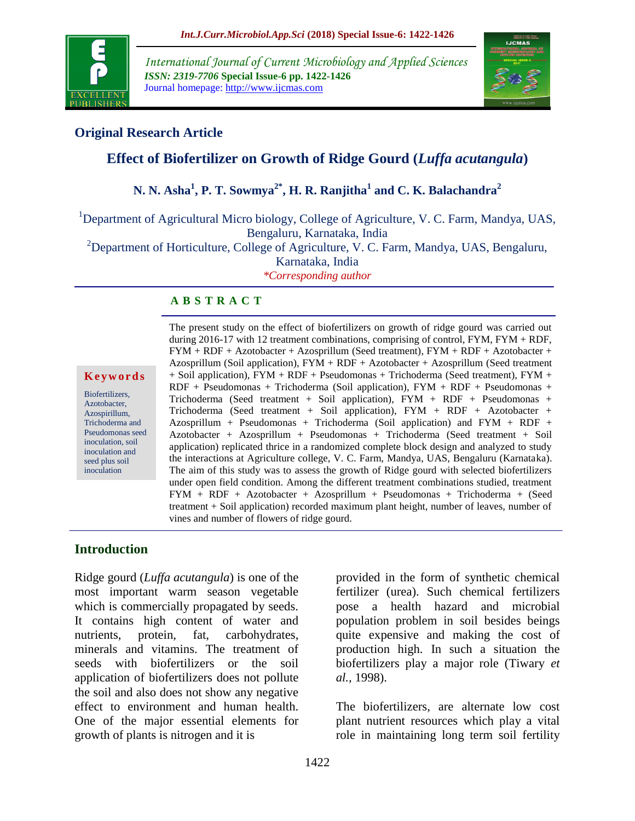

*International Journal of Current Microbiology and Applied Sciences ISSN: 2319-7706* **Special Issue-6 pp. 1422-1426** Journal homepage: http://www.ijcmas.com



#### **Original Research Article**

# **Effect of Biofertilizer on Growth of Ridge Gourd (***Luffa acutangula***)**

## **N. N. Asha<sup>1</sup> , P. T. Sowmya2\* , H. R. Ranjitha<sup>1</sup> and C. K. Balachandra<sup>2</sup>**

<sup>1</sup>Department of Agricultural Micro biology, College of Agriculture, V. C. Farm, Mandya, UAS, Bengaluru, Karnataka, India

<sup>2</sup>Department of Horticulture, College of Agriculture, V. C. Farm, Mandya, UAS, Bengaluru,

Karnataka, India

*\*Corresponding author*

#### **A B S T R A C T**

#### **K e y w o r d s**

Biofertilizers, Azotobacter, Azospirillum, Trichoderma and Pseudomonas seed inoculation, soil inoculation and seed plus soil inoculation

The present study on the effect of biofertilizers on growth of ridge gourd was carried out during 2016-17 with 12 treatment combinations, comprising of control, FYM, FYM + RDF, FYM + RDF + Azotobacter + Azosprillum (Seed treatment), FYM + RDF + Azotobacter + Azosprillum (Soil application),  $FYM + RDF + Azotobacter + Azosprillum$  (Seed treatment + Soil application), FYM + RDF + Pseudomonas + Trichoderma (Seed treatment), FYM + RDF + Pseudomonas + Trichoderma (Soil application), FYM + RDF + Pseudomonas + Trichoderma (Seed treatment + Soil application), FYM + RDF + Pseudomonas + Trichoderma (Seed treatment + Soil application), FYM + RDF + Azotobacter + Azosprillum + Pseudomonas + Trichoderma (Soil application) and  $FYM + RDF +$ Azotobacter + Azosprillum + Pseudomonas + Trichoderma (Seed treatment + Soil application) replicated thrice in a randomized complete block design and analyzed to study the interactions at Agriculture college, V. C. Farm, Mandya, UAS, Bengaluru (Karnataka). The aim of this study was to assess the growth of Ridge gourd with selected biofertilizers under open field condition. Among the different treatment combinations studied, treatment FYM + RDF + Azotobacter + Azosprillum + Pseudomonas + Trichoderma + (Seed treatment + Soil application) recorded maximum plant height, number of leaves, number of vines and number of flowers of ridge gourd.

#### **Introduction**

Ridge gourd (*Luffa acutangula*) is one of the most important warm season vegetable which is commercially propagated by seeds. It contains high content of water and nutrients, protein, fat, carbohydrates, minerals and vitamins. The treatment of seeds with biofertilizers or the soil application of biofertilizers does not pollute the soil and also does not show any negative effect to environment and human health. One of the major essential elements for growth of plants is nitrogen and it is

provided in the form of synthetic chemical fertilizer (urea). Such chemical fertilizers pose a health hazard and microbial population problem in soil besides beings quite expensive and making the cost of production high. In such a situation the biofertilizers play a major role (Tiwary *et al.,* 1998).

The biofertilizers, are alternate low cost plant nutrient resources which play a vital role in maintaining long term soil fertility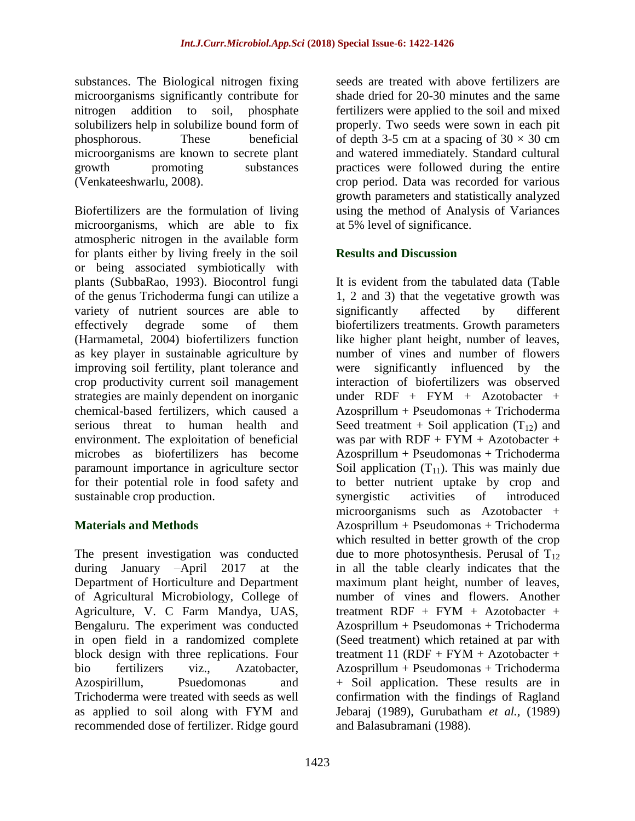substances. The Biological nitrogen fixing microorganisms significantly contribute for nitrogen addition to soil, phosphate solubilizers help in solubilize bound form of phosphorous. These beneficial microorganisms are known to secrete plant growth promoting substances (Venkateeshwarlu, 2008).

Biofertilizers are the formulation of living microorganisms, which are able to fix atmospheric nitrogen in the available form for plants either by living freely in the soil or being associated symbiotically with plants (SubbaRao, 1993). Biocontrol fungi of the genus Trichoderma fungi can utilize a variety of nutrient sources are able to effectively degrade some of them (Harmametal, 2004) biofertilizers function as key player in sustainable agriculture by improving soil fertility, plant tolerance and crop productivity current soil management strategies are mainly dependent on inorganic chemical-based fertilizers, which caused a serious threat to human health and environment. The exploitation of beneficial microbes as biofertilizers has become paramount importance in agriculture sector for their potential role in food safety and sustainable crop production.

#### **Materials and Methods**

The present investigation was conducted during January –April 2017 at the Department of Horticulture and Department of Agricultural Microbiology, College of Agriculture, V. C Farm Mandya, UAS, Bengaluru. The experiment was conducted in open field in a randomized complete block design with three replications. Four bio fertilizers viz., Azatobacter, Azospirillum, Psuedomonas and Trichoderma were treated with seeds as well as applied to soil along with FYM and recommended dose of fertilizer. Ridge gourd

seeds are treated with above fertilizers are shade dried for 20-30 minutes and the same fertilizers were applied to the soil and mixed properly. Two seeds were sown in each pit of depth 3-5 cm at a spacing of  $30 \times 30$  cm and watered immediately. Standard cultural practices were followed during the entire crop period. Data was recorded for various growth parameters and statistically analyzed using the method of Analysis of Variances at 5% level of significance.

#### **Results and Discussion**

It is evident from the tabulated data (Table 1, 2 and 3) that the vegetative growth was significantly affected by different biofertilizers treatments. Growth parameters like higher plant height, number of leaves, number of vines and number of flowers were significantly influenced by the interaction of biofertilizers was observed under RDF + FYM + Azotobacter + Azosprillum + Pseudomonas + Trichoderma Seed treatment + Soil application  $(T_{12})$  and was par with  $RDF + FYM + Azotobacter +$ Azosprillum + Pseudomonas + Trichoderma Soil application  $(T_{11})$ . This was mainly due to better nutrient uptake by crop and synergistic activities of introduced microorganisms such as Azotobacter + Azosprillum + Pseudomonas + Trichoderma which resulted in better growth of the crop due to more photosynthesis. Perusal of  $T_{12}$ in all the table clearly indicates that the maximum plant height, number of leaves, number of vines and flowers. Another treatment  $RDF + FYM + Azotobacter +$ Azosprillum + Pseudomonas + Trichoderma (Seed treatment) which retained at par with treatment 11 (RDF + FYM + Azotobacter + Azosprillum + Pseudomonas + Trichoderma + Soil application. These results are in confirmation with the findings of Ragland Jebaraj (1989), Gurubatham *et al.,* (1989) and Balasubramani (1988).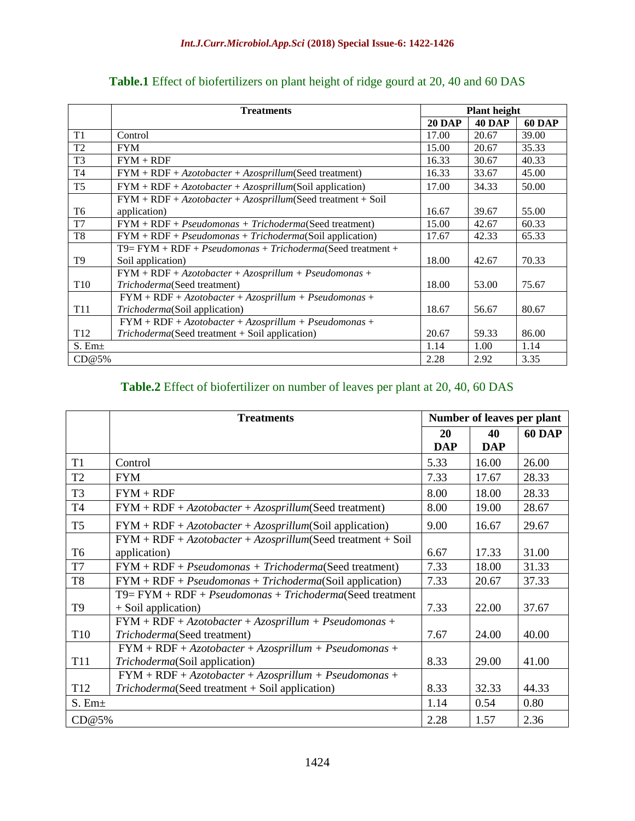|                    | <b>Treatments</b>                                              |               | <b>Plant height</b> |               |  |
|--------------------|----------------------------------------------------------------|---------------|---------------------|---------------|--|
|                    |                                                                | <b>20 DAP</b> | <b>40 DAP</b>       | <b>60 DAP</b> |  |
| T1                 | Control                                                        | 17.00         | 20.67               | 39.00         |  |
| T <sub>2</sub>     | <b>FYM</b>                                                     | 15.00         | 20.67               | 35.33         |  |
| T <sub>3</sub>     | $FYM + RDF$                                                    | 16.33         | 30.67               | 40.33         |  |
| T <sub>4</sub>     | $FYM + RDF + Azotobacter + Azosprillum(Seed treatment)$        | 16.33         | 33.67               | 45.00         |  |
| T <sub>5</sub>     | $FYM + RDF + Azotobacter + Azosprillum(Soil application)$      | 17.00         | 34.33               | 50.00         |  |
|                    | $FYM + RDF + Azotobacter + Azosprillum(Seed treatment + Soil$  |               |                     |               |  |
| T <sub>6</sub>     | application)                                                   | 16.67         | 39.67               | 55.00         |  |
| T7                 | $FYM + RDF + Pseudomonas + Trichoderma(Seed treatment)$        | 15.00         | 42.67               | 60.33         |  |
| T <sub>8</sub>     | $FYM + RDF + Pseudomonas + Trichoderma(Soil application)$      | 17.67         | 42.33               | 65.33         |  |
|                    | $T9 = FYM + RDF + Pseudomonas + Trichoderma$ (Seed treatment + |               |                     |               |  |
| T <sub>9</sub>     | Soil application)                                              | 18.00         | 42.67               | 70.33         |  |
|                    | $FYM + RDF + Azotobacter + Azosprillum + Pseudomonas +$        |               |                     |               |  |
| T <sub>10</sub>    | Trichoderma(Seed treatment)                                    | 18.00         | 53.00               | 75.67         |  |
|                    | $FYM + RDF + Azotobacter + Azosprillum + Pseudomonas +$        |               |                     |               |  |
| T11                | <i>Trichoderma</i> (Soil application)                          | 18.67         | 56.67               | 80.67         |  |
|                    | $FYM + RDF + Azotobacter + Azosprillum + Pseudomonas +$        |               |                     |               |  |
| T <sub>12</sub>    | $Trichoderma$ (Seed treatment + Soil application)              | 20.67         | 59.33               | 86.00         |  |
| S. Em <sub>±</sub> |                                                                | 1.14          | 1.00                | 1.14          |  |
| CD@5%              |                                                                | 2.28          | 2.92                | 3.35          |  |

## **Table.1** Effect of biofertilizers on plant height of ridge gourd at 20, 40 and 60 DAS

## **Table.2** Effect of biofertilizer on number of leaves per plant at 20, 40, 60 DAS

|                    | <b>Treatments</b>                                             | Number of leaves per plant |            |               |
|--------------------|---------------------------------------------------------------|----------------------------|------------|---------------|
|                    |                                                               | <b>20</b>                  | 40         | <b>60 DAP</b> |
|                    |                                                               | <b>DAP</b>                 | <b>DAP</b> |               |
| T <sub>1</sub>     | Control                                                       | 5.33                       | 16.00      | 26.00         |
| T <sub>2</sub>     | <b>FYM</b>                                                    | 7.33                       | 17.67      | 28.33         |
| T <sub>3</sub>     | $FYM + RDF$                                                   | 8.00                       | 18.00      | 28.33         |
| T <sub>4</sub>     | $FYM + RDF + Azotobacter + Azosprillum(Seed treatment)$       | 8.00                       | 19.00      | 28.67         |
| T <sub>5</sub>     | $FYM + RDF + Azotobacter + Azosprillum(Soil application)$     | 9.00                       | 16.67      | 29.67         |
|                    | $FYM + RDF + Azotobacter + Azosprillum(Seed treatment + Soil$ |                            |            |               |
| T <sub>6</sub>     | application)                                                  | 6.67                       | 17.33      | 31.00         |
| T7                 | $FYM + RDF + Pseudomonas + Trichoderma(Seed treatment)$       | 7.33                       | 18.00      | 31.33         |
| T <sub>8</sub>     | $FYM + RDF + Pseudomonas + Trichoderma(Soil application)$     | 7.33                       | 20.67      | 37.33         |
|                    | $T9 = FYM + RDF + Pseudomonas + Trichoderma$ (Seed treatment  |                            |            |               |
| T <sub>9</sub>     | + Soil application)                                           | 7.33                       | 22.00      | 37.67         |
|                    | $FYM + RDF + Azotobacter + Azosprillum + Pseudomonas +$       |                            |            |               |
| T10                | Trichoderma(Seed treatment)                                   | 7.67                       | 24.00      | 40.00         |
|                    | $FYM + RDF + Azotobacter + Azosprillum + Pseudomonas +$       |                            |            |               |
| <b>T11</b>         | Trichoderma(Soil application)                                 | 8.33                       | 29.00      | 41.00         |
|                    | $FYM + RDF + Azotobacter + Azosprillum + Pseudomonas +$       |                            |            |               |
| T <sub>12</sub>    | Trichoderma(Seed treatment + Soil application)                | 8.33                       | 32.33      | 44.33         |
| S. Em <sub>±</sub> |                                                               | 1.14                       | 0.54       | 0.80          |
| CD@5%              |                                                               | 2.28                       | 1.57       | 2.36          |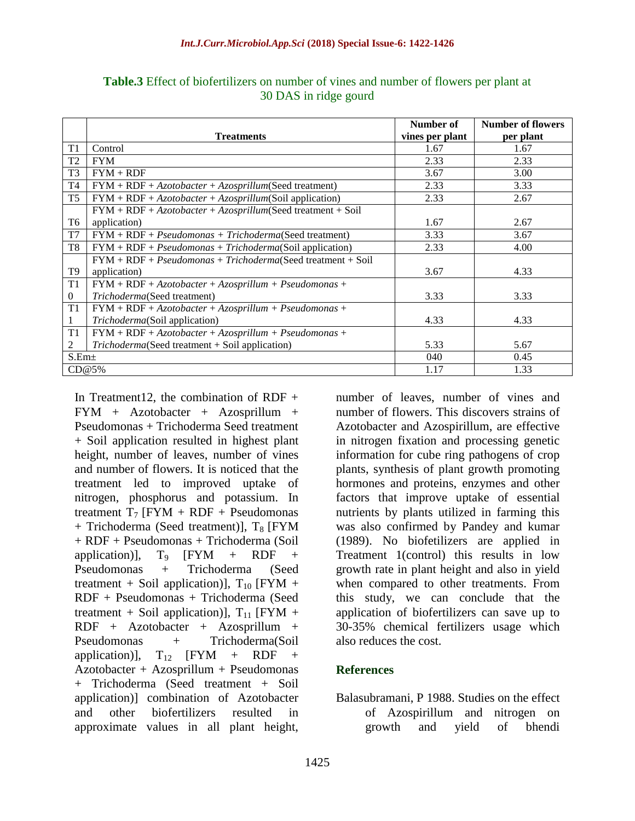|                   |                                                               | Number of       | <b>Number of flowers</b> |
|-------------------|---------------------------------------------------------------|-----------------|--------------------------|
|                   | <b>Treatments</b>                                             | vines per plant | per plant                |
| T1                | Control                                                       | 1.67            | 1.67                     |
| T <sub>2</sub>    | <b>FYM</b>                                                    | 2.33            | 2.33                     |
| T <sub>3</sub>    | $FYM + RDF$                                                   | 3.67            | 3.00                     |
| T <sub>4</sub>    | $FYM + RDF + Azotobacter + Azosprillum(Seed treatment)$       | 2.33            | 3.33                     |
| T <sub>5</sub>    | $FYM + RDF + Azotobacter + Azosprillum(Soil application)$     | 2.33            | 2.67                     |
|                   | $FYM + RDF + Azotobacter + Azosprillum(Seed treatment + Soil$ |                 |                          |
| T6                | application)                                                  | 1.67            | 2.67                     |
| T7                | $FYM + RDF + Pseudomonas + Trichoderma(Seed treatment)$       | 3.33            | 3.67                     |
| T8                | $FYM + RDF + Pseudomonas + Trichoderma(Soil application)$     | 2.33            | 4.00                     |
|                   | $FYM + RDF + Pseudomonas + Trichoderma(Seed treatment + Soil$ |                 |                          |
| T9                | application)                                                  | 3.67            | 4.33                     |
| T1                | $FYM + RDF + Azotobacter + Azosprillum + Pseudomonas +$       |                 |                          |
| $\overline{0}$    | Trichoderma(Seed treatment)                                   | 3.33            | 3.33                     |
| T1                | $FYM + RDF + Azotobacter + Azosprillum + Pseudomonas +$       |                 |                          |
|                   | Trichoderma(Soil application)                                 | 4.33            | 4.33                     |
| T1                | $FYM + RDF + Azotobacter + Azosprillum + Pseudomonas +$       |                 |                          |
| 2                 | $Trichoderma$ (Seed treatment + Soil application)             | 5.33            | 5.67                     |
| S.Em <sub>±</sub> |                                                               | 040             | 0.45                     |
|                   | CD@5%                                                         | 1.17            | 1.33                     |

**Table.3** Effect of biofertilizers on number of vines and number of flowers per plant at 30 DAS in ridge gourd

In Treatment12, the combination of RDF  $+$ FYM + Azotobacter + Azosprillum + Pseudomonas + Trichoderma Seed treatment + Soil application resulted in highest plant height, number of leaves, number of vines and number of flowers. It is noticed that the treatment led to improved uptake of nitrogen, phosphorus and potassium. In treatment  $T_7$  [FYM + RDF + Pseudomonas  $+$  Trichoderma (Seed treatment)],  $T_8$  [FYM] + RDF + Pseudomonas + Trichoderma (Soil application)],  $T_9$  [FYM + RDF + Pseudomonas + Trichoderma (Seed treatment + Soil application)],  $T_{10}$  [FYM + RDF + Pseudomonas + Trichoderma (Seed treatment + Soil application)],  $T_{11}$  [FYM + RDF + Azotobacter + Azosprillum + Pseudomonas + Trichoderma(Soil application)],  $T_{12}$  [FYM + RDF + Azotobacter + Azosprillum + Pseudomonas + Trichoderma (Seed treatment + Soil application)] combination of Azotobacter and other biofertilizers resulted in approximate values in all plant height,

number of leaves, number of vines and number of flowers. This discovers strains of Azotobacter and Azospirillum, are effective in nitrogen fixation and processing genetic information for cube ring pathogens of crop plants, synthesis of plant growth promoting hormones and proteins, enzymes and other factors that improve uptake of essential nutrients by plants utilized in farming this was also confirmed by Pandey and kumar (1989). No biofetilizers are applied in Treatment 1(control) this results in low growth rate in plant height and also in yield when compared to other treatments. From this study, we can conclude that the application of biofertilizers can save up to 30-35% chemical fertilizers usage which also reduces the cost.

#### **References**

Balasubramani, P 1988. Studies on the effect of Azospirillum and nitrogen on growth and yield of bhendi